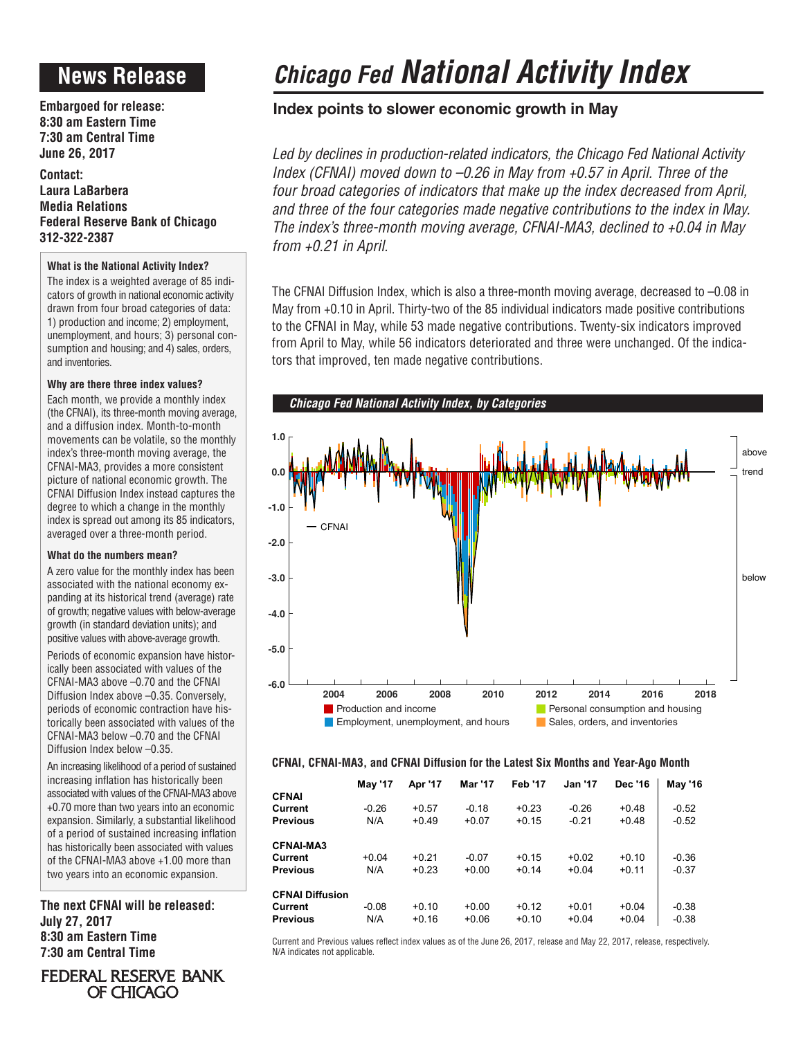# **News Release**

**Embargoed for release: 8:30 am Eastern Time 7:30 am Central Time June 26, 2017**

**Contact: Laura LaBarbera Media Relations Federal Reserve Bank of Chicago 312-322-2387**

### **What is the National Activity Index?**

The index is a weighted average of 85 indicators of growth in national economic activity drawn from four broad categories of data: 1) production and income; 2) employment, unemployment, and hours; 3) personal consumption and housing; and 4) sales, orders, and inventories.

### **Why are there three index values?**

Each month, we provide a monthly index (the CFNAI), its three-month moving average, and a diffusion index. Month-to-month movements can be volatile, so the monthly index's three-month moving average, the CFNAI-MA3, provides a more consistent picture of national economic growth. The CFNAI Diffusion Index instead captures the degree to which a change in the monthly index is spread out among its 85 indicators, averaged over a three-month period.

### **What do the numbers mean?**

A zero value for the monthly index has been associated with the national economy expanding at its historical trend (average) rate of growth; negative values with below-average growth (in standard deviation units); and positive values with above-average growth.

Periods of economic expansion have historically been associated with values of the CFNAI-MA3 above –0.70 and the CFNAI Diffusion Index above –0.35. Conversely, periods of economic contraction have historically been associated with values of the CFNAI-MA3 below –0.70 and the CFNAI Diffusion Index below –0.35.

An increasing likelihood of a period of sustained increasing inflation has historically been associated with values of the CFNAI-MA3 above +0.70 more than two years into an economic expansion. Similarly, a substantial likelihood of a period of sustained increasing inflation has historically been associated with values of the CFNAI-MA3 above +1.00 more than two years into an economic expansion.

**The next CFNAI will be released: July 27, 2017 8:30 am Eastern Time 7:30 am Central Time**

**FEDERAL RESERVE BANK** OF CHICAGO

# *Chicago Fed National Activity Index*

## **Index points to slower economic growth in May**

*Led by declines in production-related indicators, the Chicago Fed National Activity Index (CFNAI) moved down to –0.26 in May from +0.57 in April. Three of the four broad categories of indicators that make up the index decreased from April, and three of the four categories made negative contributions to the index in May. The index's three-month moving average, CFNAI-MA3, declined to +0.04 in May from +0.21 in April.*

The CFNAI Diffusion Index, which is also a three-month moving average, decreased to –0.08 in May from +0.10 in April. Thirty-two of the 85 individual indicators made positive contributions to the CFNAI in May, while 53 made negative contributions. Twenty-six indicators improved from April to May, while 56 indicators deteriorated and three were unchanged. Of the indicators that improved, ten made negative contributions.



### **CFNAI, CFNAI-MA3, and CFNAI Diffusion for the Latest Six Months and Year-Ago Month**

|                        | <b>May '17</b> | Apr '17 | <b>Mar '17</b> | <b>Feb '17</b> | <b>Jan '17</b> | <b>Dec '16</b> | <b>May '16</b> |
|------------------------|----------------|---------|----------------|----------------|----------------|----------------|----------------|
| <b>CFNAI</b>           |                |         |                |                |                |                |                |
| Current                | $-0.26$        | $+0.57$ | $-0.18$        | $+0.23$        | $-0.26$        | $+0.48$        | $-0.52$        |
| <b>Previous</b>        | N/A            | $+0.49$ | $+0.07$        | $+0.15$        | $-0.21$        | $+0.48$        | $-0.52$        |
| <b>CFNAI-MA3</b>       |                |         |                |                |                |                |                |
| Current                | $+0.04$        | $+0.21$ | $-0.07$        | $+0.15$        | $+0.02$        | $+0.10$        | $-0.36$        |
| <b>Previous</b>        | N/A            | $+0.23$ | $+0.00$        | $+0.14$        | $+0.04$        | $+0.11$        | $-0.37$        |
| <b>CFNAI Diffusion</b> |                |         |                |                |                |                |                |
| Current                | $-0.08$        | $+0.10$ | $+0.00$        | $+0.12$        | $+0.01$        | $+0.04$        | $-0.38$        |
| <b>Previous</b>        | N/A            | $+0.16$ | $+0.06$        | $+0.10$        | $+0.04$        | $+0.04$        | $-0.38$        |

Current and Previous values reflect index values as of the June 26, 2017, release and May 22, 2017, release, respectively. N/A indicates not applicable.